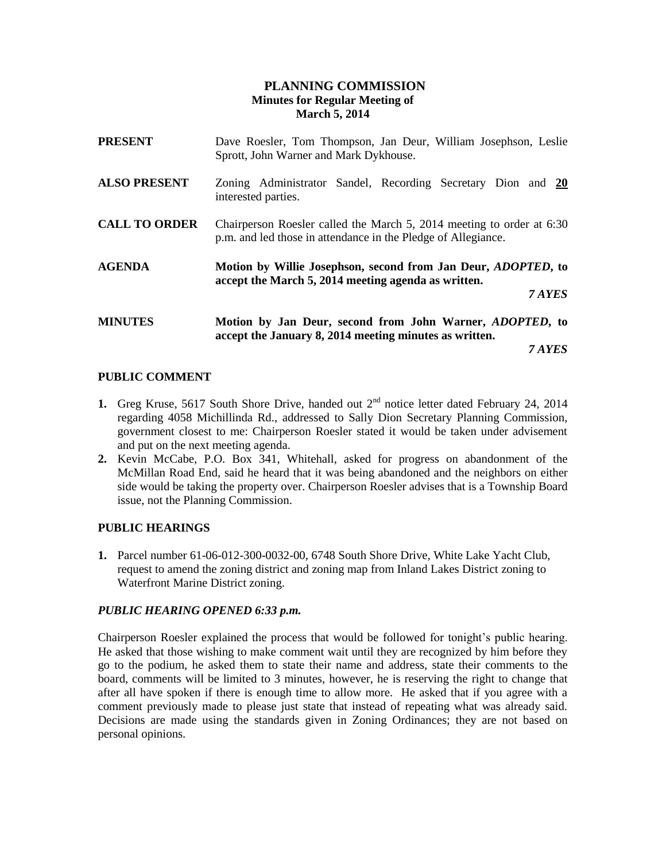# **PLANNING COMMISSION Minutes for Regular Meeting of March 5, 2014**

| <b>PRESENT</b>       | Dave Roesler, Tom Thompson, Jan Deur, William Josephson, Leslie<br>Sprott, John Warner and Mark Dykhouse.                              |
|----------------------|----------------------------------------------------------------------------------------------------------------------------------------|
| <b>ALSO PRESENT</b>  | Zoning Administrator Sandel, Recording Secretary Dion and 20<br>interested parties.                                                    |
| <b>CALL TO ORDER</b> | Chairperson Roesler called the March 5, 2014 meeting to order at 6:30<br>p.m. and led those in attendance in the Pledge of Allegiance. |
| <b>AGENDA</b>        | Motion by Willie Josephson, second from Jan Deur, <i>ADOPTED</i> , to<br>accept the March 5, 2014 meeting agenda as written.<br>7 AYES |
| <b>MINUTES</b>       | Motion by Jan Deur, second from John Warner, ADOPTED, to<br>accept the January 8, 2014 meeting minutes as written.                     |

*7 AYES*

# **PUBLIC COMMENT**

- **1.** Greg Kruse, 5617 South Shore Drive, handed out  $2<sup>nd</sup>$  notice letter dated February 24, 2014 regarding 4058 Michillinda Rd., addressed to Sally Dion Secretary Planning Commission, government closest to me: Chairperson Roesler stated it would be taken under advisement and put on the next meeting agenda.
- **2.** Kevin McCabe, P.O. Box 341, Whitehall, asked for progress on abandonment of the McMillan Road End, said he heard that it was being abandoned and the neighbors on either side would be taking the property over. Chairperson Roesler advises that is a Township Board issue, not the Planning Commission.

### **PUBLIC HEARINGS**

**1.** Parcel number 61-06-012-300-0032-00, 6748 South Shore Drive, White Lake Yacht Club, request to amend the zoning district and zoning map from Inland Lakes District zoning to Waterfront Marine District zoning.

### *PUBLIC HEARING OPENED 6:33 p.m.*

Chairperson Roesler explained the process that would be followed for tonight's public hearing. He asked that those wishing to make comment wait until they are recognized by him before they go to the podium, he asked them to state their name and address, state their comments to the board, comments will be limited to 3 minutes, however, he is reserving the right to change that after all have spoken if there is enough time to allow more. He asked that if you agree with a comment previously made to please just state that instead of repeating what was already said. Decisions are made using the standards given in Zoning Ordinances; they are not based on personal opinions.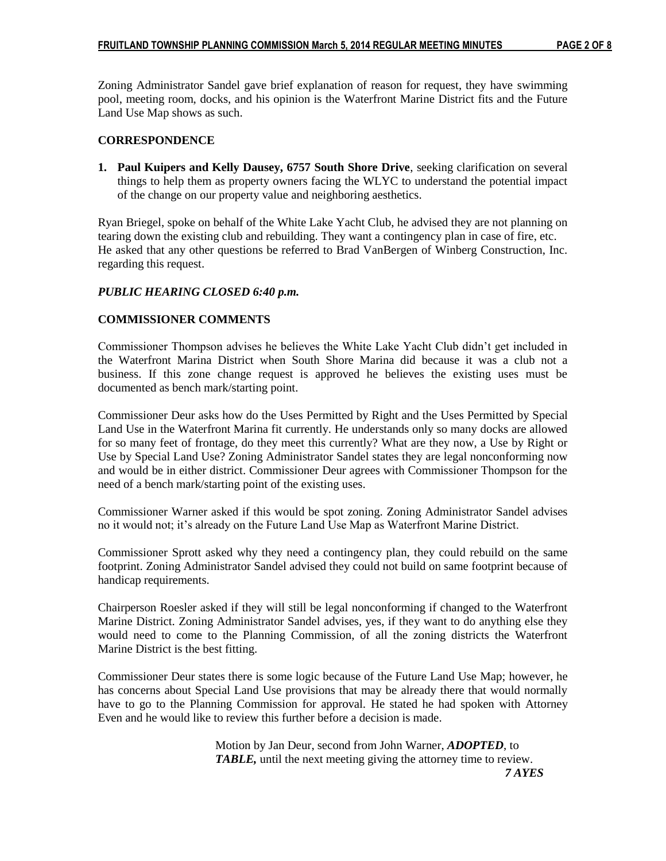Zoning Administrator Sandel gave brief explanation of reason for request, they have swimming pool, meeting room, docks, and his opinion is the Waterfront Marine District fits and the Future Land Use Map shows as such.

# **CORRESPONDENCE**

**1. Paul Kuipers and Kelly Dausey, 6757 South Shore Drive**, seeking clarification on several things to help them as property owners facing the WLYC to understand the potential impact of the change on our property value and neighboring aesthetics.

Ryan Briegel, spoke on behalf of the White Lake Yacht Club, he advised they are not planning on tearing down the existing club and rebuilding. They want a contingency plan in case of fire, etc. He asked that any other questions be referred to Brad VanBergen of Winberg Construction, Inc. regarding this request.

# *PUBLIC HEARING CLOSED 6:40 p.m.*

# **COMMISSIONER COMMENTS**

Commissioner Thompson advises he believes the White Lake Yacht Club didn't get included in the Waterfront Marina District when South Shore Marina did because it was a club not a business. If this zone change request is approved he believes the existing uses must be documented as bench mark/starting point.

Commissioner Deur asks how do the Uses Permitted by Right and the Uses Permitted by Special Land Use in the Waterfront Marina fit currently. He understands only so many docks are allowed for so many feet of frontage, do they meet this currently? What are they now, a Use by Right or Use by Special Land Use? Zoning Administrator Sandel states they are legal nonconforming now and would be in either district. Commissioner Deur agrees with Commissioner Thompson for the need of a bench mark/starting point of the existing uses.

Commissioner Warner asked if this would be spot zoning. Zoning Administrator Sandel advises no it would not; it's already on the Future Land Use Map as Waterfront Marine District.

Commissioner Sprott asked why they need a contingency plan, they could rebuild on the same footprint. Zoning Administrator Sandel advised they could not build on same footprint because of handicap requirements.

Chairperson Roesler asked if they will still be legal nonconforming if changed to the Waterfront Marine District. Zoning Administrator Sandel advises, yes, if they want to do anything else they would need to come to the Planning Commission, of all the zoning districts the Waterfront Marine District is the best fitting.

Commissioner Deur states there is some logic because of the Future Land Use Map; however, he has concerns about Special Land Use provisions that may be already there that would normally have to go to the Planning Commission for approval. He stated he had spoken with Attorney Even and he would like to review this further before a decision is made.

Motion by Jan Deur, second from John Warner, *ADOPTED*, to *TABLE,* until the next meeting giving the attorney time to review.  *7 AYES*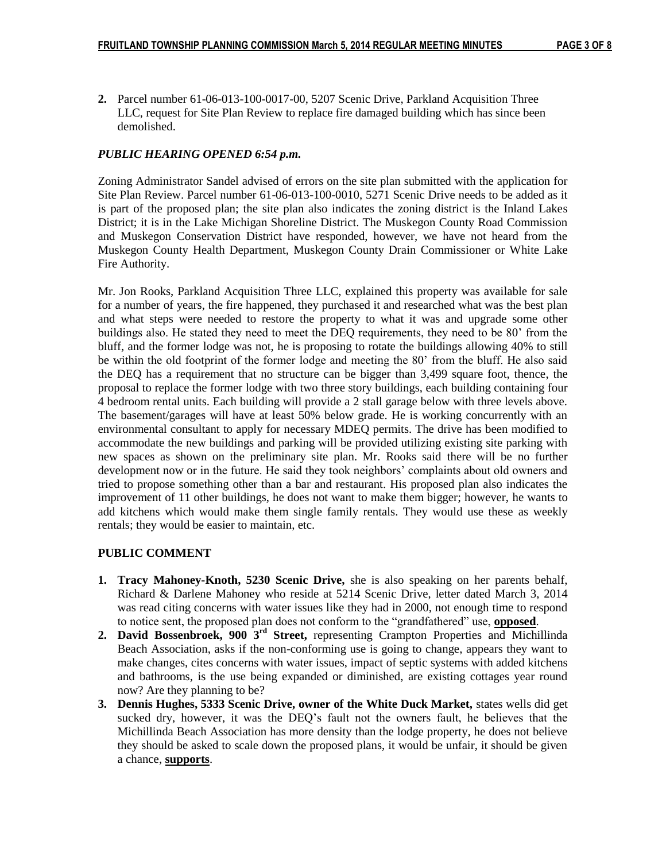**2.** Parcel number 61-06-013-100-0017-00, 5207 Scenic Drive, Parkland Acquisition Three **1.** LLC, request for Site Plan Review to replace fire damaged building which has since been demolished.

# *PUBLIC HEARING OPENED 6:54 p.m.*

Zoning Administrator Sandel advised of errors on the site plan submitted with the application for Site Plan Review. Parcel number 61-06-013-100-0010, 5271 Scenic Drive needs to be added as it is part of the proposed plan; the site plan also indicates the zoning district is the Inland Lakes District; it is in the Lake Michigan Shoreline District. The Muskegon County Road Commission and Muskegon Conservation District have responded, however, we have not heard from the Muskegon County Health Department, Muskegon County Drain Commissioner or White Lake Fire Authority.

Mr. Jon Rooks, Parkland Acquisition Three LLC, explained this property was available for sale for a number of years, the fire happened, they purchased it and researched what was the best plan and what steps were needed to restore the property to what it was and upgrade some other buildings also. He stated they need to meet the DEQ requirements, they need to be 80' from the bluff, and the former lodge was not, he is proposing to rotate the buildings allowing 40% to still be within the old footprint of the former lodge and meeting the 80' from the bluff. He also said the DEQ has a requirement that no structure can be bigger than 3,499 square foot, thence, the proposal to replace the former lodge with two three story buildings, each building containing four 4 bedroom rental units. Each building will provide a 2 stall garage below with three levels above. The basement/garages will have at least 50% below grade. He is working concurrently with an environmental consultant to apply for necessary MDEQ permits. The drive has been modified to accommodate the new buildings and parking will be provided utilizing existing site parking with new spaces as shown on the preliminary site plan. Mr. Rooks said there will be no further development now or in the future. He said they took neighbors' complaints about old owners and tried to propose something other than a bar and restaurant. His proposed plan also indicates the improvement of 11 other buildings, he does not want to make them bigger; however, he wants to add kitchens which would make them single family rentals. They would use these as weekly rentals; they would be easier to maintain, etc.

### **PUBLIC COMMENT**

- **1. Tracy Mahoney-Knoth, 5230 Scenic Drive,** she is also speaking on her parents behalf, Richard & Darlene Mahoney who reside at 5214 Scenic Drive, letter dated March 3, 2014 was read citing concerns with water issues like they had in 2000, not enough time to respond to notice sent, the proposed plan does not conform to the "grandfathered" use, **opposed**.
- **2. David Bossenbroek, 900 3rd Street,** representing Crampton Properties and Michillinda Beach Association, asks if the non-conforming use is going to change, appears they want to make changes, cites concerns with water issues, impact of septic systems with added kitchens and bathrooms, is the use being expanded or diminished, are existing cottages year round now? Are they planning to be?
- **3. Dennis Hughes, 5333 Scenic Drive, owner of the White Duck Market,** states wells did get sucked dry, however, it was the DEQ's fault not the owners fault, he believes that the Michillinda Beach Association has more density than the lodge property, he does not believe they should be asked to scale down the proposed plans, it would be unfair, it should be given a chance, **supports**.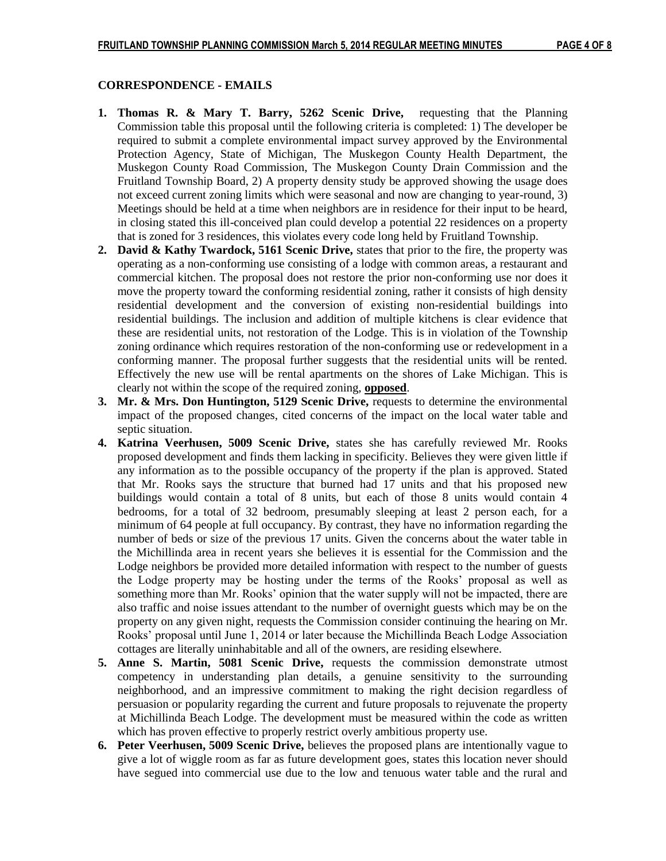### **CORRESPONDENCE - EMAILS**

- **1. Thomas R. & Mary T. Barry, 5262 Scenic Drive,** requesting that the Planning Commission table this proposal until the following criteria is completed: 1) The developer be required to submit a complete environmental impact survey approved by the Environmental Protection Agency, State of Michigan, The Muskegon County Health Department, the Muskegon County Road Commission, The Muskegon County Drain Commission and the Fruitland Township Board, 2) A property density study be approved showing the usage does not exceed current zoning limits which were seasonal and now are changing to year-round, 3) Meetings should be held at a time when neighbors are in residence for their input to be heard, in closing stated this ill-conceived plan could develop a potential 22 residences on a property that is zoned for 3 residences, this violates every code long held by Fruitland Township.
- **2. David & Kathy Twardock, 5161 Scenic Drive,** states that prior to the fire, the property was operating as a non-conforming use consisting of a lodge with common areas, a restaurant and commercial kitchen. The proposal does not restore the prior non-conforming use nor does it move the property toward the conforming residential zoning, rather it consists of high density residential development and the conversion of existing non-residential buildings into residential buildings. The inclusion and addition of multiple kitchens is clear evidence that these are residential units, not restoration of the Lodge. This is in violation of the Township zoning ordinance which requires restoration of the non-conforming use or redevelopment in a conforming manner. The proposal further suggests that the residential units will be rented. Effectively the new use will be rental apartments on the shores of Lake Michigan. This is clearly not within the scope of the required zoning, **opposed**.
- **3.** Mr. & Mrs. Don Huntington, 5129 Scenic Drive, requests to determine the environmental impact of the proposed changes, cited concerns of the impact on the local water table and septic situation.
- **4. Katrina Veerhusen, 5009 Scenic Drive,** states she has carefully reviewed Mr. Rooks proposed development and finds them lacking in specificity. Believes they were given little if any information as to the possible occupancy of the property if the plan is approved. Stated that Mr. Rooks says the structure that burned had 17 units and that his proposed new buildings would contain a total of 8 units, but each of those 8 units would contain 4 bedrooms, for a total of 32 bedroom, presumably sleeping at least 2 person each, for a minimum of 64 people at full occupancy. By contrast, they have no information regarding the number of beds or size of the previous 17 units. Given the concerns about the water table in the Michillinda area in recent years she believes it is essential for the Commission and the Lodge neighbors be provided more detailed information with respect to the number of guests the Lodge property may be hosting under the terms of the Rooks' proposal as well as something more than Mr. Rooks' opinion that the water supply will not be impacted, there are also traffic and noise issues attendant to the number of overnight guests which may be on the property on any given night, requests the Commission consider continuing the hearing on Mr. Rooks' proposal until June 1, 2014 or later because the Michillinda Beach Lodge Association cottages are literally uninhabitable and all of the owners, are residing elsewhere.
- **5. Anne S. Martin, 5081 Scenic Drive,** requests the commission demonstrate utmost competency in understanding plan details, a genuine sensitivity to the surrounding neighborhood, and an impressive commitment to making the right decision regardless of persuasion or popularity regarding the current and future proposals to rejuvenate the property at Michillinda Beach Lodge. The development must be measured within the code as written which has proven effective to properly restrict overly ambitious property use.
- **6. Peter Veerhusen, 5009 Scenic Drive,** believes the proposed plans are intentionally vague to give a lot of wiggle room as far as future development goes, states this location never should have segued into commercial use due to the low and tenuous water table and the rural and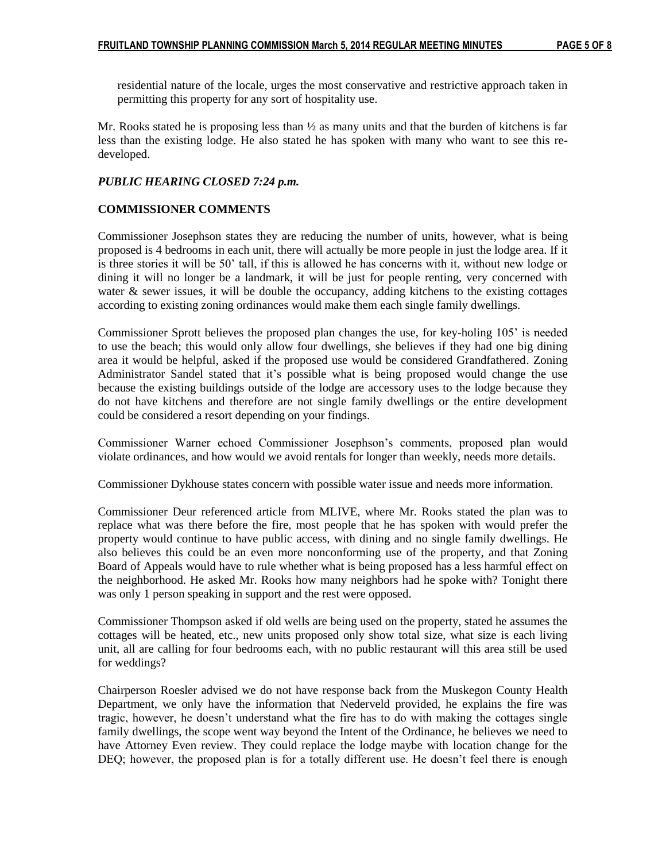residential nature of the locale, urges the most conservative and restrictive approach taken in permitting this property for any sort of hospitality use.

Mr. Rooks stated he is proposing less than ½ as many units and that the burden of kitchens is far less than the existing lodge. He also stated he has spoken with many who want to see this redeveloped.

# *PUBLIC HEARING CLOSED 7:24 p.m.*

# **COMMISSIONER COMMENTS**

Commissioner Josephson states they are reducing the number of units, however, what is being proposed is 4 bedrooms in each unit, there will actually be more people in just the lodge area. If it is three stories it will be 50' tall, if this is allowed he has concerns with it, without new lodge or dining it will no longer be a landmark, it will be just for people renting, very concerned with water & sewer issues, it will be double the occupancy, adding kitchens to the existing cottages according to existing zoning ordinances would make them each single family dwellings.

Commissioner Sprott believes the proposed plan changes the use, for key-holing 105' is needed to use the beach; this would only allow four dwellings, she believes if they had one big dining area it would be helpful, asked if the proposed use would be considered Grandfathered. Zoning Administrator Sandel stated that it's possible what is being proposed would change the use because the existing buildings outside of the lodge are accessory uses to the lodge because they do not have kitchens and therefore are not single family dwellings or the entire development could be considered a resort depending on your findings.

Commissioner Warner echoed Commissioner Josephson's comments, proposed plan would violate ordinances, and how would we avoid rentals for longer than weekly, needs more details.

Commissioner Dykhouse states concern with possible water issue and needs more information.

Commissioner Deur referenced article from MLIVE, where Mr. Rooks stated the plan was to replace what was there before the fire, most people that he has spoken with would prefer the property would continue to have public access, with dining and no single family dwellings. He also believes this could be an even more nonconforming use of the property, and that Zoning Board of Appeals would have to rule whether what is being proposed has a less harmful effect on the neighborhood. He asked Mr. Rooks how many neighbors had he spoke with? Tonight there was only 1 person speaking in support and the rest were opposed.

Commissioner Thompson asked if old wells are being used on the property, stated he assumes the cottages will be heated, etc., new units proposed only show total size, what size is each living unit, all are calling for four bedrooms each, with no public restaurant will this area still be used for weddings?

Chairperson Roesler advised we do not have response back from the Muskegon County Health Department, we only have the information that Nederveld provided, he explains the fire was tragic, however, he doesn't understand what the fire has to do with making the cottages single family dwellings, the scope went way beyond the Intent of the Ordinance, he believes we need to have Attorney Even review. They could replace the lodge maybe with location change for the DEQ; however, the proposed plan is for a totally different use. He doesn't feel there is enough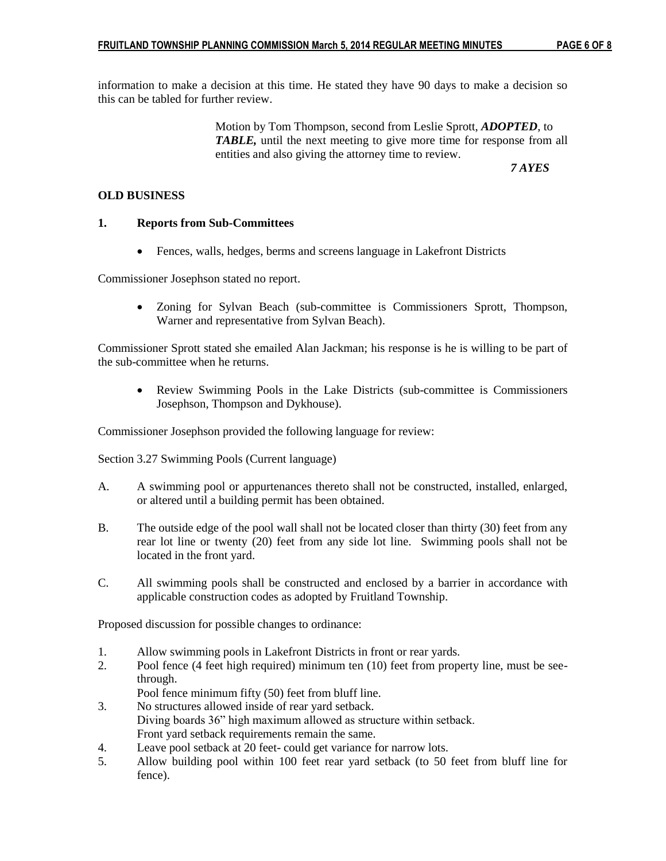information to make a decision at this time. He stated they have 90 days to make a decision so this can be tabled for further review.

> Motion by Tom Thompson, second from Leslie Sprott, *ADOPTED*, to *TABLE,* until the next meeting to give more time for response from all entities and also giving the attorney time to review.

 *7 AYES*

### **OLD BUSINESS**

# **1. Reports from Sub-Committees**

Fences, walls, hedges, berms and screens language in Lakefront Districts

Commissioner Josephson stated no report.

 Zoning for Sylvan Beach (sub-committee is Commissioners Sprott, Thompson, Warner and representative from Sylvan Beach).

Commissioner Sprott stated she emailed Alan Jackman; his response is he is willing to be part of the sub-committee when he returns.

 Review Swimming Pools in the Lake Districts (sub-committee is Commissioners Josephson, Thompson and Dykhouse).

Commissioner Josephson provided the following language for review:

Section 3.27 Swimming Pools (Current language)

- A. A swimming pool or appurtenances thereto shall not be constructed, installed, enlarged, or altered until a building permit has been obtained.
- B. The outside edge of the pool wall shall not be located closer than thirty (30) feet from any rear lot line or twenty (20) feet from any side lot line. Swimming pools shall not be located in the front yard.
- C. All swimming pools shall be constructed and enclosed by a barrier in accordance with applicable construction codes as adopted by Fruitland Township.

Proposed discussion for possible changes to ordinance:

- 1. Allow swimming pools in Lakefront Districts in front or rear yards.
- 2. Pool fence (4 feet high required) minimum ten (10) feet from property line, must be seethrough.

Pool fence minimum fifty (50) feet from bluff line.

- 3. No structures allowed inside of rear yard setback. Diving boards 36" high maximum allowed as structure within setback. Front yard setback requirements remain the same.
- 4. Leave pool setback at 20 feet- could get variance for narrow lots.
- 5. Allow building pool within 100 feet rear yard setback (to 50 feet from bluff line for fence).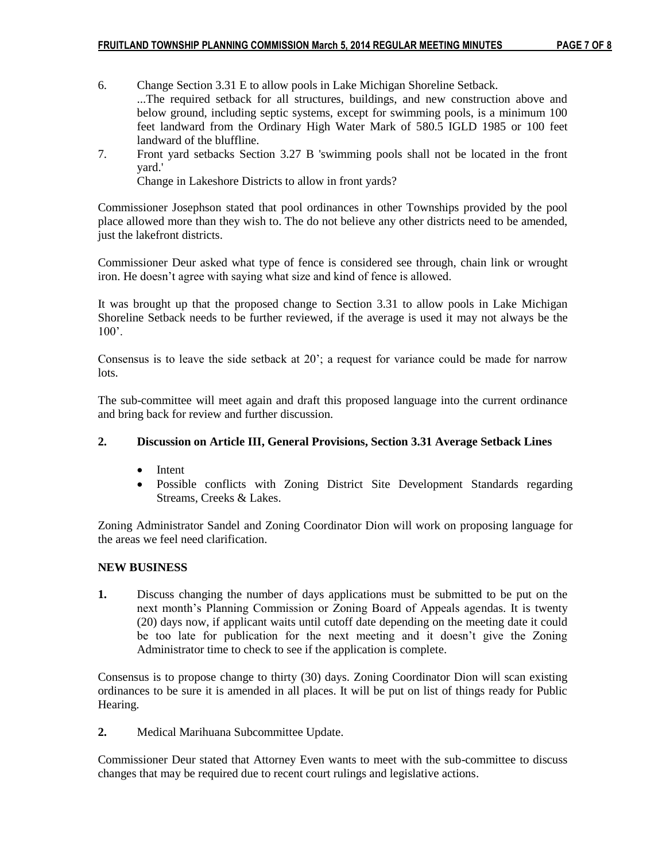- 6. Change Section 3.31 E to allow pools in Lake Michigan Shoreline Setback. ...The required setback for all structures, buildings, and new construction above and below ground, including septic systems, except for swimming pools, is a minimum 100 feet landward from the Ordinary High Water Mark of 580.5 IGLD 1985 or 100 feet landward of the bluffline.
- 7. Front yard setbacks Section 3.27 B 'swimming pools shall not be located in the front yard.'

Change in Lakeshore Districts to allow in front yards?

Commissioner Josephson stated that pool ordinances in other Townships provided by the pool place allowed more than they wish to. The do not believe any other districts need to be amended, just the lakefront districts.

Commissioner Deur asked what type of fence is considered see through, chain link or wrought iron. He doesn't agree with saying what size and kind of fence is allowed.

It was brought up that the proposed change to Section 3.31 to allow pools in Lake Michigan Shoreline Setback needs to be further reviewed, if the average is used it may not always be the  $100'$ 

Consensus is to leave the side setback at 20'; a request for variance could be made for narrow lots.

The sub-committee will meet again and draft this proposed language into the current ordinance and bring back for review and further discussion.

# **2. Discussion on Article III, General Provisions, Section 3.31 Average Setback Lines**

- Intent
- Possible conflicts with Zoning District Site Development Standards regarding Streams, Creeks & Lakes.

Zoning Administrator Sandel and Zoning Coordinator Dion will work on proposing language for the areas we feel need clarification.

### **NEW BUSINESS**

**1.** Discuss changing the number of days applications must be submitted to be put on the next month's Planning Commission or Zoning Board of Appeals agendas. It is twenty (20) days now, if applicant waits until cutoff date depending on the meeting date it could be too late for publication for the next meeting and it doesn't give the Zoning Administrator time to check to see if the application is complete.

Consensus is to propose change to thirty (30) days. Zoning Coordinator Dion will scan existing ordinances to be sure it is amended in all places. It will be put on list of things ready for Public Hearing.

**2.** Medical Marihuana Subcommittee Update.

Commissioner Deur stated that Attorney Even wants to meet with the sub-committee to discuss changes that may be required due to recent court rulings and legislative actions.